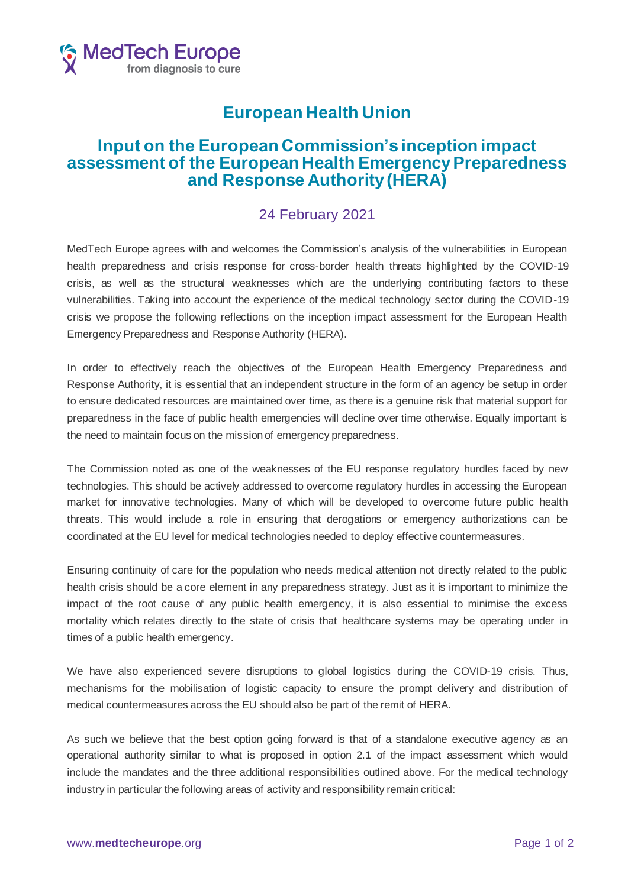

## **European Health Union**

## **Input on the European Commission's inception impact assessment of the European Health Emergency Preparedness and Response Authority (HERA)**

## 24 February 2021

MedTech Europe agrees with and welcomes the Commission's analysis of the vulnerabilities in European health preparedness and crisis response for cross-border health threats highlighted by the COVID-19 crisis, as well as the structural weaknesses which are the underlying contributing factors to these vulnerabilities. Taking into account the experience of the medical technology sector during the COVID-19 crisis we propose the following reflections on the inception impact assessment for the European Health Emergency Preparedness and Response Authority (HERA).

In order to effectively reach the objectives of the European Health Emergency Preparedness and Response Authority, it is essential that an independent structure in the form of an agency be setup in order to ensure dedicated resources are maintained over time, as there is a genuine risk that material support for preparedness in the face of public health emergencies will decline over time otherwise. Equally important is the need to maintain focus on the mission of emergency preparedness.

The Commission noted as one of the weaknesses of the EU response regulatory hurdles faced by new technologies. This should be actively addressed to overcome regulatory hurdles in accessing the European market for innovative technologies. Many of which will be developed to overcome future public health threats. This would include a role in ensuring that derogations or emergency authorizations can be coordinated at the EU level for medical technologies needed to deploy effective countermeasures.

Ensuring continuity of care for the population who needs medical attention not directly related to the public health crisis should be a core element in any preparedness strategy. Just as it is important to minimize the impact of the root cause of any public health emergency, it is also essential to minimise the excess mortality which relates directly to the state of crisis that healthcare systems may be operating under in times of a public health emergency.

We have also experienced severe disruptions to global logistics during the COVID-19 crisis. Thus, mechanisms for the mobilisation of logistic capacity to ensure the prompt delivery and distribution of medical countermeasures across the EU should also be part of the remit of HERA.

As such we believe that the best option going forward is that of a standalone executive agency as an operational authority similar to what is proposed in option 2.1 of the impact assessment which would include the mandates and the three additional responsibilities outlined above. For the medical technology industry in particular the following areas of activity and responsibility remain critical: